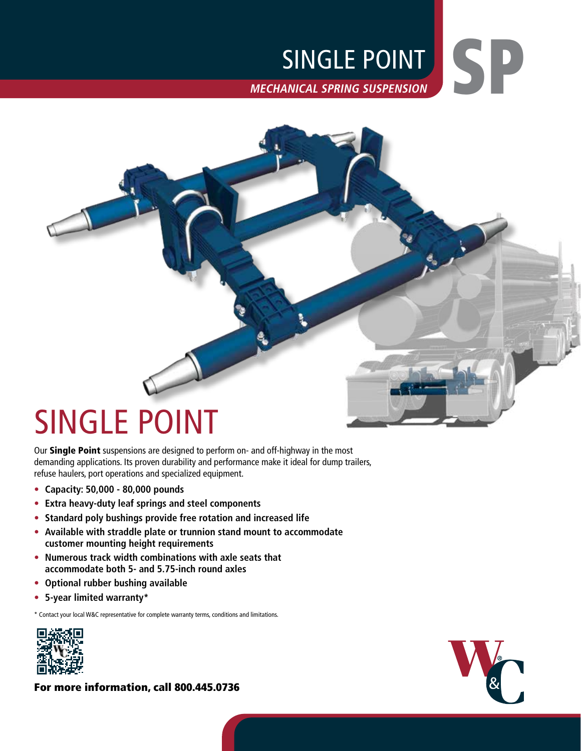## **MECHANICAL SPRING SUSPENSION** SINGLE POINT

# SINGLE POINT

Our Single Point suspensions are designed to perform on- and off-highway in the most demanding applications. Its proven durability and performance make it ideal for dump trailers, refuse haulers, port operations and specialized equipment.

- **• Capacity: 50,000 80,000 pounds**
- **• Extra heavy-duty leaf springs and steel components**
- **• Standard poly bushings provide free rotation and increased life**
- **• Available with straddle plate or trunnion stand mount to accommodate customer mounting height requirements**
- **• Numerous track width combinations with axle seats that accommodate both 5- and 5.75-inch round axles**
- **• Optional rubber bushing available**
- **• 5-year limited warranty\***

\* Contact your local W&C representative for complete warranty terms, conditions and limitations.



For more information, call 800.445.0736